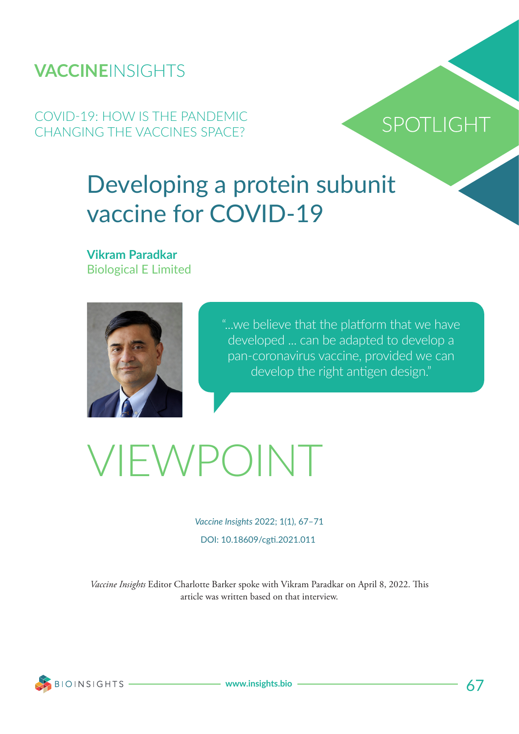### **VACCINE**INSIGHTS

COVID-19: HOW IS THE PANDEMIC CHANGING THE VACCINES SPACE?

## SPOTLIGHT

## Developing a protein subunit vaccine for COVID-19

**Vikram Paradkar** Biological E Limited



"...we believe that the platform that we have developed ... can be adapted to develop a pan-coronavirus vaccine, provided we can develop the right antigen design."

# VIEWPOINT

*Vaccine Insights* 2022; 1(1), 67–71 DOI: 10.18609/cgti.2021.011

*Vaccine Insights* Editor Charlotte Barker spoke with Vikram Paradkar on April 8, 2022. This article was written based on that interview.

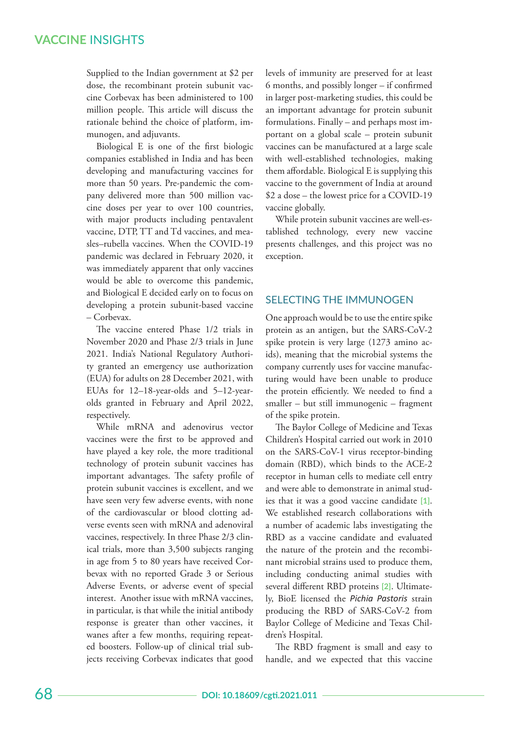#### **VACCINE** INSIGHTS

Supplied to the Indian government at \$2 per dose, the recombinant protein subunit vaccine Corbevax has been administered to 100 million people. This article will discuss the rationale behind the choice of platform, immunogen, and adjuvants.

Biological E is one of the first biologic companies established in India and has been developing and manufacturing vaccines for more than 50 years. Pre-pandemic the company delivered more than 500 million vaccine doses per year to over 100 countries, with major products including pentavalent vaccine, DTP, TT and Td vaccines, and measles–rubella vaccines. When the COVID-19 pandemic was declared in February 2020, it was immediately apparent that only vaccines would be able to overcome this pandemic, and Biological E decided early on to focus on developing a protein subunit-based vaccine – Corbevax.

The vaccine entered Phase  $1/2$  trials in November 2020 and Phase 2/3 trials in June 2021. India's National Regulatory Authority granted an emergency use authorization (EUA) for adults on 28 December 2021, with EUAs for 12–18-year-olds and 5–12-yearolds granted in February and April 2022, respectively.

While mRNA and adenovirus vector vaccines were the first to be approved and have played a key role, the more traditional technology of protein subunit vaccines has important advantages. The safety profile of protein subunit vaccines is excellent, and we have seen very few adverse events, with none of the cardiovascular or blood clotting adverse events seen with mRNA and adenoviral vaccines, respectively. In three Phase 2/3 clinical trials, more than 3,500 subjects ranging in age from 5 to 80 years have received Corbevax with no reported Grade 3 or Serious Adverse Events, or adverse event of special interest. Another issue with mRNA vaccines, in particular, is that while the initial antibody response is greater than other vaccines, it wanes after a few months, requiring repeated boosters. Follow-up of clinical trial subjects receiving Corbevax indicates that good levels of immunity are preserved for at least 6 months, and possibly longer – if confirmed in larger post-marketing studies, this could be an important advantage for protein subunit formulations. Finally – and perhaps most important on a global scale – protein subunit vaccines can be manufactured at a large scale with well-established technologies, making them affordable. Biological E is supplying this vaccine to the government of India at around \$2 a dose – the lowest price for a COVID-19 vaccine globally.

While protein subunit vaccines are well-established technology, every new vaccine presents challenges, and this project was no exception.

#### SELECTING THE IMMUNOGEN

One approach would be to use the entire spike protein as an antigen, but the SARS-CoV-2 spike protein is very large (1273 amino acids), meaning that the microbial systems the company currently uses for vaccine manufacturing would have been unable to produce the protein efficiently. We needed to find a smaller – but still immunogenic – fragment of the spike protein.

The Baylor College of Medicine and Texas Children's Hospital carried out work in 2010 on the SARS-CoV-1 virus receptor-binding domain (RBD), which binds to the ACE-2 receptor in human cells to mediate cell entry and were able to demonstrate in animal studies that it was a good vaccine candidate **[1]**. We established research collaborations with a number of academic labs investigating the RBD as a vaccine candidate and evaluated the nature of the protein and the recombinant microbial strains used to produce them, including conducting animal studies with several different RBD proteins **[2]**. Ultimately, BioE licensed the *Pichia Pastoris* strain producing the RBD of SARS-CoV-2 from Baylor College of Medicine and Texas Children's Hospital.

The RBD fragment is small and easy to handle, and we expected that this vaccine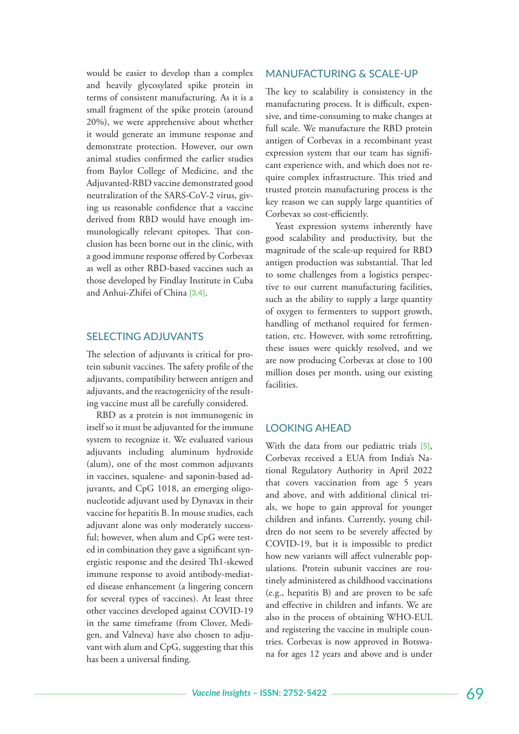would be easier to develop than a complex and heavily glycosylated spike protein in terms of consistent manufacturing. As it is a small fragment of the spike protein (around 20%), we were apprehensive about whether it would generate an immune response and demonstrate protection. However, our own animal studies confirmed the earlier studies from Baylor College of Medicine, and the Adjuvanted-RBD vaccine demonstrated good neutralization of the SARS-CoV-2 virus, giving us reasonable confidence that a vaccine derived from RBD would have enough immunologically relevant epitopes. That conclusion has been borne out in the clinic, with a good immune response offered by Corbevax as well as other RBD-based vaccines such as those developed by Findlay Institute in Cuba and Anhui-Zhifei of China **[3,4]**.

#### SELECTING ADJUVANTS

The selection of adjuvants is critical for protein subunit vaccines. The safety profile of the adjuvants, compatibility between antigen and adjuvants, and the reactogenicity of the resulting vaccine must all be carefully considered.

RBD as a protein is not immunogenic in itself so it must be adjuvanted for the immune system to recognize it. We evaluated various adjuvants including aluminum hydroxide (alum), one of the most common adjuvants in vaccines, squalene- and saponin-based adjuvants, and CpG 1018, an emerging oligonucleotide adjuvant used by Dynavax in their vaccine for hepatitis B. In mouse studies, each adjuvant alone was only moderately successful; however, when alum and CpG were tested in combination they gave a significant synergistic response and the desired Th1-skewed immune response to avoid antibody-mediated disease enhancement (a lingering concern for several types of vaccines). At least three other vaccines developed against COVID-19 in the same timeframe (from Clover, Medigen, and Valneva) have also chosen to adjuvant with alum and CpG, suggesting that this has been a universal finding.

#### MANUFACTURING & SCALE-UP

The key to scalability is consistency in the manufacturing process. It is difficult, expensive, and time-consuming to make changes at full scale. We manufacture the RBD protein antigen of Corbevax in a recombinant yeast expression system that our team has significant experience with, and which does not require complex infrastructure. This tried and trusted protein manufacturing process is the key reason we can supply large quantities of Corbevax so cost-efficiently.

Yeast expression systems inherently have good scalability and productivity, but the magnitude of the scale-up required for RBD antigen production was substantial. That led to some challenges from a logistics perspective to our current manufacturing facilities, such as the ability to supply a large quantity of oxygen to fermenters to support growth, handling of methanol required for fermentation, etc. However, with some retrofitting, these issues were quickly resolved, and we are now producing Corbevax at close to 100 million doses per month, using our existing facilities.

#### LOOKING AHEAD

With the data from our pediatric trials **[5]**, Corbevax received a EUA from India's National Regulatory Authority in April 2022 that covers vaccination from age 5 years and above, and with additional clinical trials, we hope to gain approval for younger children and infants. Currently, young children do not seem to be severely affected by COVID-19, but it is impossible to predict how new variants will affect vulnerable populations. Protein subunit vaccines are routinely administered as childhood vaccinations (e.g., hepatitis B) and are proven to be safe and effective in children and infants. We are also in the process of obtaining WHO-EUL and registering the vaccine in multiple countries. Corbevax is now approved in Botswana for ages 12 years and above and is under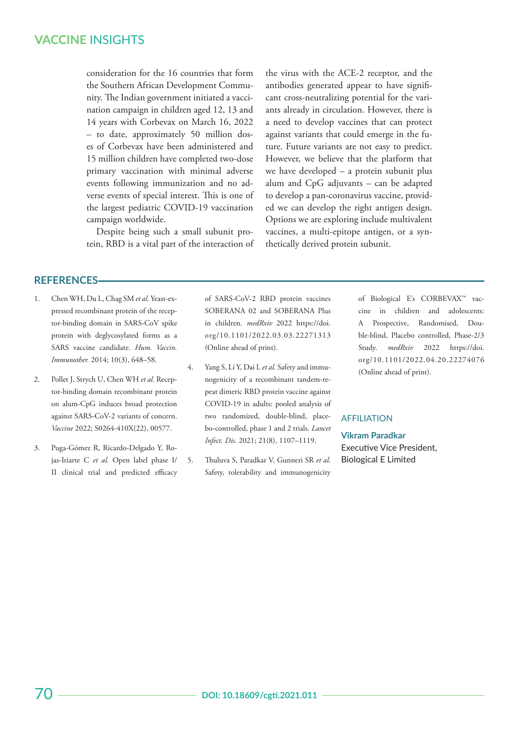#### **VACCINE** INSIGHTS

consideration for the 16 countries that form the Southern African Development Community. The Indian government initiated a vaccination campaign in children aged 12, 13 and 14 years with Corbevax on March 16, 2022 – to date, approximately 50 million doses of Corbevax have been administered and 15 million children have completed two-dose primary vaccination with minimal adverse events following immunization and no adverse events of special interest. This is one of the largest pediatric COVID-19 vaccination campaign worldwide.

Despite being such a small subunit protein, RBD is a vital part of the interaction of the virus with the ACE-2 receptor, and the antibodies generated appear to have significant cross-neutralizing potential for the variants already in circulation. However, there is a need to develop vaccines that can protect against variants that could emerge in the future. Future variants are not easy to predict. However, we believe that the platform that we have developed – a protein subunit plus alum and CpG adjuvants – can be adapted to develop a pan-coronavirus vaccine, provided we can develop the right antigen design. Options we are exploring include multivalent vaccines, a multi-epitope antigen, or a synthetically derived protein subunit.

#### **REFERENCES**

- 1. Chen WH, Du L, Chag SM *et al.* Yeast-expressed recombinant protein of the receptor-binding domain in SARS-CoV spike protein with deglycosylated forms as a SARS vaccine candidate. *Hum. Vaccin. Immunother.* 2014; 10(3), 648–58.
- 2. Pollet J, Strych U, Chen WH *et al.* Receptor-binding domain recombinant protein on alum-CpG induces broad protection against SARS-CoV-2 variants of concern. *Vaccine* 2022; S0264-410X(22), 00577.
- 3. Puga-Gómez R, Ricardo-Delgado Y, Rojas-Iriarte C *et al.* Open label phase I/ II clinical trial and predicted efficacy

of SARS-CoV-2 RBD protein vaccines SOBERANA 02 and SOBERANA Plus in children. *medRxiv* 2022 https://doi. org/10.1101/2022.03.03.22271313 (Online ahead of print).

- 4. Yang S, Li Y, Dai L *et al.* Safety and immunogenicity of a recombinant tandem-repeat dimeric RBD protein vaccine against COVID-19 in adults: pooled analysis of two randomized, double-blind, placebo-controlled, phase 1 and 2 trials. *Lancet Infect. Dis.* 2021; 21(8), 1107–1119.
- 5. Thuluva S, Paradkar V, Gunneri SR *et al.*  Safety, tolerability and immunogenicity

of Biological E's CORBEVAX™ vaccine in children and adolescents: A Prospective, Randomised, Double-blind, Placebo controlled, Phase-2/3 Study. *medRxiv* 2022 https://doi. org/10.1101/2022.04.20.22274076 (Online ahead of print).

#### **AFFILIATION**

**Vikram Paradkar** Executive Vice President, Biological E Limited